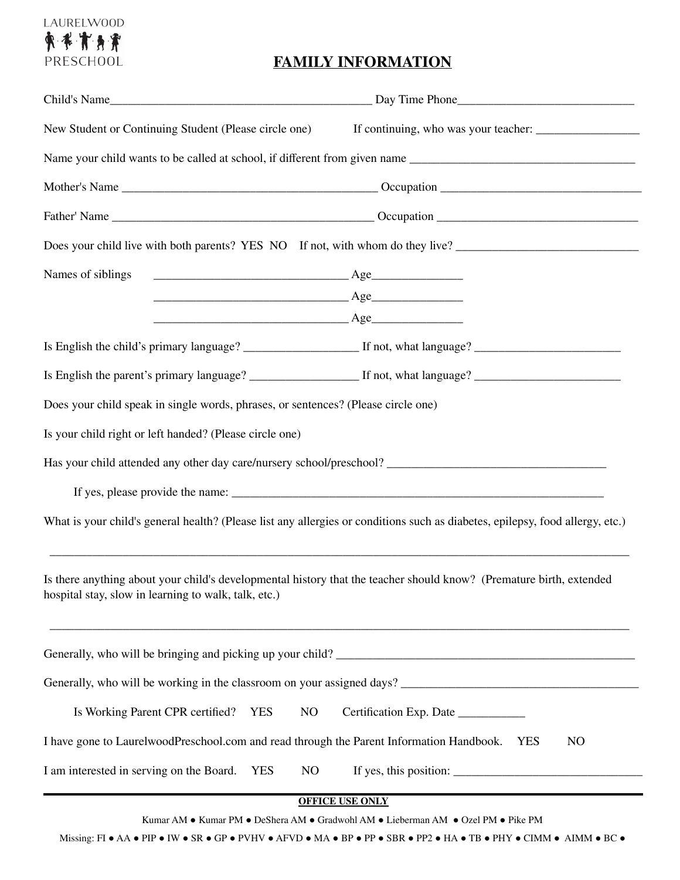# LAURELWOOD 東米市身界 PRESCHOOL

## **FAMILY INFORMATION**

| New Student or Continuing Student (Please circle one)                                                                                                                       |                                           |  |
|-----------------------------------------------------------------------------------------------------------------------------------------------------------------------------|-------------------------------------------|--|
|                                                                                                                                                                             |                                           |  |
|                                                                                                                                                                             |                                           |  |
|                                                                                                                                                                             |                                           |  |
| Does your child live with both parents? YES NO If not, with whom do they live?                                                                                              |                                           |  |
| Names of siblings                                                                                                                                                           |                                           |  |
|                                                                                                                                                                             |                                           |  |
|                                                                                                                                                                             | Age                                       |  |
|                                                                                                                                                                             |                                           |  |
|                                                                                                                                                                             |                                           |  |
| Does your child speak in single words, phrases, or sentences? (Please circle one)                                                                                           |                                           |  |
| Is your child right or left handed? (Please circle one)                                                                                                                     |                                           |  |
|                                                                                                                                                                             |                                           |  |
|                                                                                                                                                                             |                                           |  |
| What is your child's general health? (Please list any allergies or conditions such as diabetes, epilepsy, food allergy, etc.)                                               |                                           |  |
| Is there anything about your child's developmental history that the teacher should know? (Premature birth, extended<br>hospital stay, slow in learning to walk, talk, etc.) |                                           |  |
| Generally, who will be bringing and picking up your child?                                                                                                                  |                                           |  |
|                                                                                                                                                                             |                                           |  |
| Is Working Parent CPR certified? YES                                                                                                                                        | NO<br>Certification Exp. Date ___________ |  |
| I have gone to LaurelwoodPreschool.com and read through the Parent Information Handbook.<br>NO<br><b>YES</b>                                                                |                                           |  |
| I am interested in serving on the Board. YES                                                                                                                                | NO                                        |  |

**OFFICE USE ONLY**

Kumar AM ● Kumar PM ● DeShera AM ● Gradwohl AM ● Lieberman AM ● Ozel PM ● Pike PM

Missing: FI ● AA ● PIP ● IW ● SR ● GP ● PVHV ● AFVD ● MA ● BP ● PP ● SBR ● PP2 ● HA ● TB ● PHY ● CIMM ● AIMM ● BC ●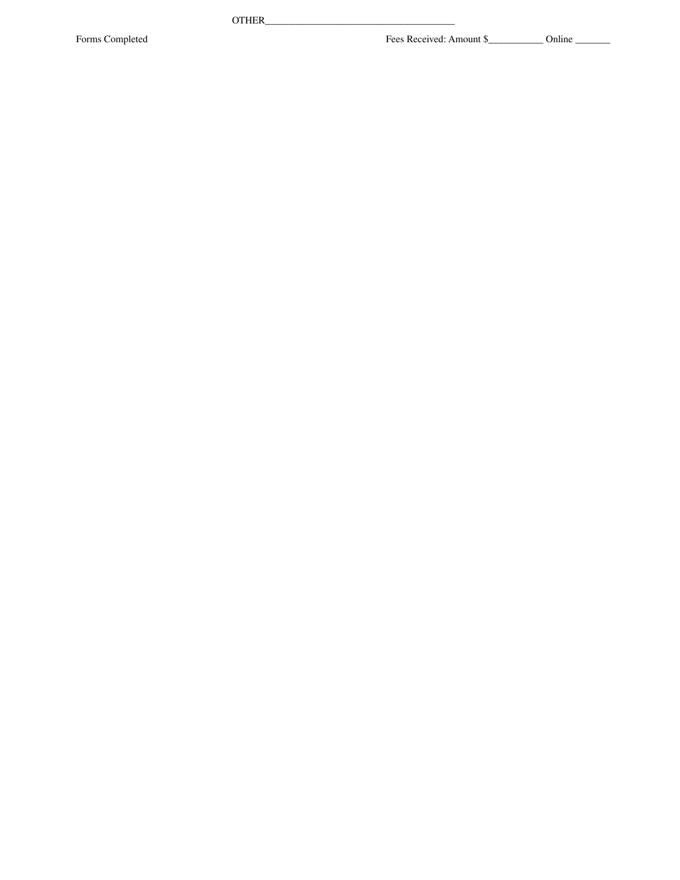O T H E R \_

\_ \_ \_ \_ \_ \_ \_ \_ \_ \_ \_ \_ \_ \_ \_ \_ \_ \_ \_ \_ \_ \_ \_ \_ \_ \_ \_ \_ \_ \_ \_ \_ \_ \_

Forms Completed

\_ \_ \_ Fees Received: Amount \$\_\_\_\_\_\_\_\_\_\_\_\_\_\_ Online \_\_\_\_\_\_\_\_\_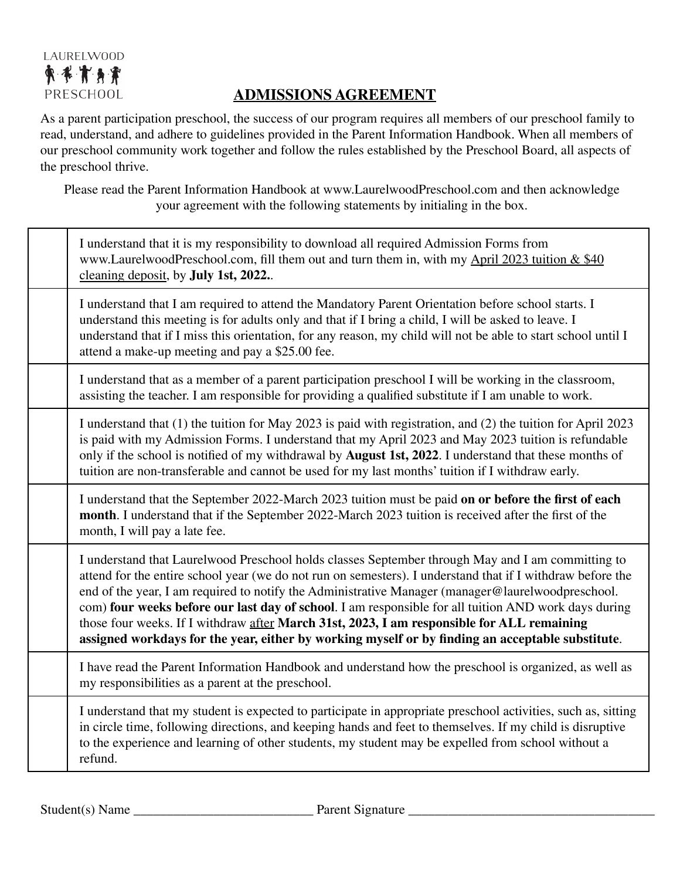# LAURELWOOD 東水市身津 PRESCHOOL

# **ADMISSIONS AGREEMENT**

As a parent participation preschool, the success of our program requires all members of our preschool family to read, understand, and adhere to guidelines provided in the Parent Information Handbook. When all members of our preschool community work together and follow the rules established by the Preschool Board, all aspects of the preschool thrive.

Please read the Parent Information Handbook at www.LaurelwoodPreschool.com and then acknowledge your agreement with the following statements by initialing in the box.

| I understand that it is my responsibility to download all required Admission Forms from<br>www.LaurelwoodPreschool.com, fill them out and turn them in, with my April 2023 tuition & \$40<br>cleaning deposit, by <b>July 1st</b> , 2022.                                                                                                                                                                                                                                                                                                                                                                                      |
|--------------------------------------------------------------------------------------------------------------------------------------------------------------------------------------------------------------------------------------------------------------------------------------------------------------------------------------------------------------------------------------------------------------------------------------------------------------------------------------------------------------------------------------------------------------------------------------------------------------------------------|
| I understand that I am required to attend the Mandatory Parent Orientation before school starts. I<br>understand this meeting is for adults only and that if I bring a child, I will be asked to leave. I<br>understand that if I miss this orientation, for any reason, my child will not be able to start school until I<br>attend a make-up meeting and pay a \$25.00 fee.                                                                                                                                                                                                                                                  |
| I understand that as a member of a parent participation preschool I will be working in the classroom,<br>assisting the teacher. I am responsible for providing a qualified substitute if I am unable to work.                                                                                                                                                                                                                                                                                                                                                                                                                  |
| I understand that (1) the tuition for May 2023 is paid with registration, and (2) the tuition for April 2023<br>is paid with my Admission Forms. I understand that my April 2023 and May 2023 tuition is refundable<br>only if the school is notified of my withdrawal by August 1st, 2022. I understand that these months of<br>tuition are non-transferable and cannot be used for my last months' tuition if I withdraw early.                                                                                                                                                                                              |
| I understand that the September 2022-March 2023 tuition must be paid on or before the first of each<br>month. I understand that if the September 2022-March 2023 tuition is received after the first of the<br>month, I will pay a late fee.                                                                                                                                                                                                                                                                                                                                                                                   |
| I understand that Laurelwood Preschool holds classes September through May and I am committing to<br>attend for the entire school year (we do not run on semesters). I understand that if I withdraw before the<br>end of the year, I am required to notify the Administrative Manager (manager@laurelwoodpreschool.<br>com) four weeks before our last day of school. I am responsible for all tuition AND work days during<br>those four weeks. If I withdraw after March 31st, 2023, I am responsible for ALL remaining<br>assigned workdays for the year, either by working myself or by finding an acceptable substitute. |
| I have read the Parent Information Handbook and understand how the preschool is organized, as well as<br>my responsibilities as a parent at the preschool.                                                                                                                                                                                                                                                                                                                                                                                                                                                                     |
| I understand that my student is expected to participate in appropriate preschool activities, such as, sitting<br>in circle time, following directions, and keeping hands and feet to themselves. If my child is disruptive<br>to the experience and learning of other students, my student may be expelled from school without a<br>refund.                                                                                                                                                                                                                                                                                    |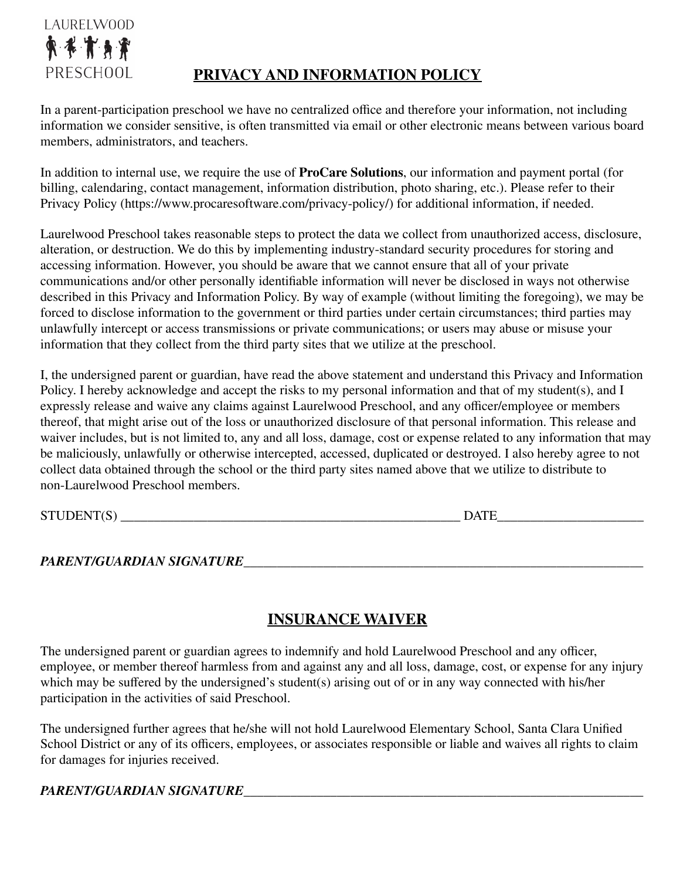

# **PRIVACY AND INFORMATION POLICY**

In a parent-participation preschool we have no centralized office and therefore your information, not including information we consider sensitive, is often transmitted via email or other electronic means between various board members, administrators, and teachers.

In addition to internal use, we require the use of **ProCare Solutions**, our information and payment portal (for billing, calendaring, contact management, information distribution, photo sharing, etc.). Please refer to their Privacy Policy (https://www.procaresoftware.com/privacy-policy/) for additional information, if needed.

Laurelwood Preschool takes reasonable steps to protect the data we collect from unauthorized access, disclosure, alteration, or destruction. We do this by implementing industry-standard security procedures for storing and accessing information. However, you should be aware that we cannot ensure that all of your private communications and/or other personally identifiable information will never be disclosed in ways not otherwise described in this Privacy and Information Policy. By way of example (without limiting the foregoing), we may be forced to disclose information to the government or third parties under certain circumstances; third parties may unlawfully intercept or access transmissions or private communications; or users may abuse or misuse your information that they collect from the third party sites that we utilize at the preschool.

I, the undersigned parent or guardian, have read the above statement and understand this Privacy and Information Policy. I hereby acknowledge and accept the risks to my personal information and that of my student(s), and I expressly release and waive any claims against Laurelwood Preschool, and any officer/employee or members thereof, that might arise out of the loss or unauthorized disclosure of that personal information. This release and waiver includes, but is not limited to, any and all loss, damage, cost or expense related to any information that may be maliciously, unlawfully or otherwise intercepted, accessed, duplicated or destroyed. I also hereby agree to not collect data obtained through the school or the third party sites named above that we utilize to distribute to non-Laurelwood Preschool members.

STUDENT(S) \_\_\_\_\_\_\_\_\_\_\_\_\_\_\_\_\_\_\_\_\_\_\_\_\_\_\_\_\_\_\_\_\_\_\_\_\_\_\_\_\_\_\_\_\_\_\_\_\_\_\_ DATE\_\_\_\_\_\_\_\_\_\_\_\_\_\_\_\_\_\_\_\_\_\_

#### *PARENT/GUARDIAN SIGNATURE*\_\_\_\_\_\_\_\_\_\_\_\_\_\_\_\_\_\_\_\_\_\_\_\_\_\_\_\_\_\_\_\_\_\_\_\_\_\_\_\_\_\_\_\_\_\_\_\_\_\_\_\_\_\_\_\_\_\_\_\_

# **INSURANCE WAIVER**

The undersigned parent or guardian agrees to indemnify and hold Laurelwood Preschool and any officer, employee, or member thereof harmless from and against any and all loss, damage, cost, or expense for any injury which may be suffered by the undersigned's student(s) arising out of or in any way connected with his/her participation in the activities of said Preschool.

The undersigned further agrees that he/she will not hold Laurelwood Elementary School, Santa Clara Unified School District or any of its officers, employees, or associates responsible or liable and waives all rights to claim for damages for injuries received.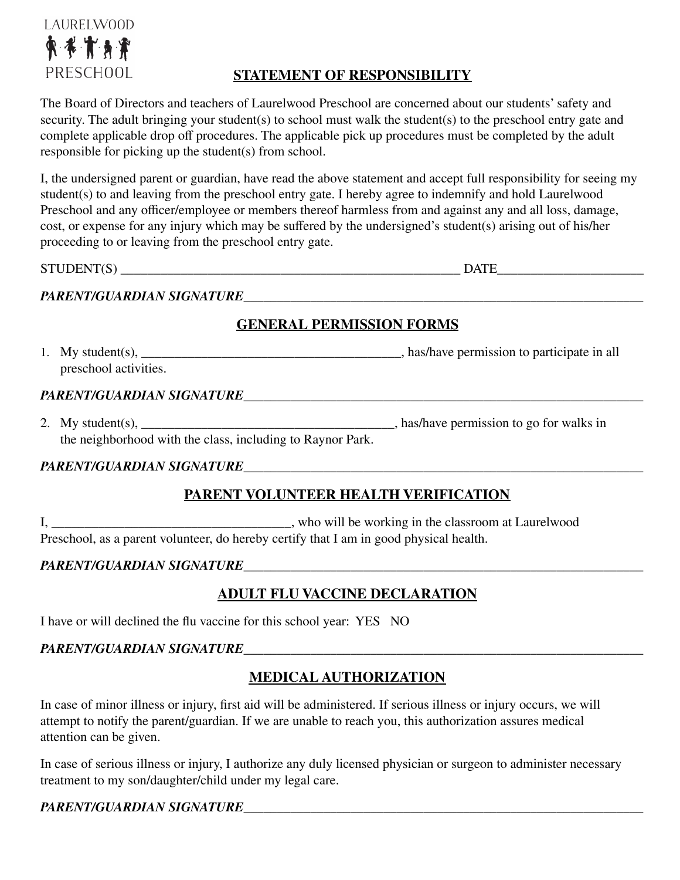

### **STATEMENT OF RESPONSIBILITY**

The Board of Directors and teachers of Laurelwood Preschool are concerned about our students' safety and security. The adult bringing your student(s) to school must walk the student(s) to the preschool entry gate and complete applicable drop off procedures. The applicable pick up procedures must be completed by the adult responsible for picking up the student(s) from school.

I, the undersigned parent or guardian, have read the above statement and accept full responsibility for seeing my student(s) to and leaving from the preschool entry gate. I hereby agree to indemnify and hold Laurelwood Preschool and any officer/employee or members thereof harmless from and against any and all loss, damage, cost, or expense for any injury which may be suffered by the undersigned's student(s) arising out of his/her proceeding to or leaving from the preschool entry gate.

STUDENT(S) DATE

#### *PARENT/GUARDIAN SIGNATURE*\_\_\_\_\_\_\_\_\_\_\_\_\_\_\_\_\_\_\_\_\_\_\_\_\_\_\_\_\_\_\_\_\_\_\_\_\_\_\_\_\_\_\_\_\_\_\_\_\_\_\_\_\_\_\_\_\_\_\_\_

### **GENERAL PERMISSION FORMS**

1. My student(s), \_\_\_\_\_\_\_\_\_\_\_\_\_\_\_\_\_\_\_\_\_\_\_\_\_\_\_\_\_\_\_\_\_\_\_\_\_\_\_, has/have permission to participate in all preschool activities.

#### *PARENT/GUARDIAN SIGNATURE*\_\_\_\_\_\_\_\_\_\_\_\_\_\_\_\_\_\_\_\_\_\_\_\_\_\_\_\_\_\_\_\_\_\_\_\_\_\_\_\_\_\_\_\_\_\_\_\_\_\_\_\_\_\_\_\_\_\_\_\_

2. My student(s), has/have permission to go for walks in the neighborhood with the class, including to Raynor Park.

#### *PARENT/GUARDIAN SIGNATURE*\_\_\_\_\_\_\_\_\_\_\_\_\_\_\_\_\_\_\_\_\_\_\_\_\_\_\_\_\_\_\_\_\_\_\_\_\_\_\_\_\_\_\_\_\_\_\_\_\_\_\_\_\_\_\_\_\_\_\_\_

### **PARENT VOLUNTEER HEALTH VERIFICATION**

I, \_\_\_\_\_\_\_\_\_\_\_\_\_\_\_\_\_\_\_\_\_\_\_\_\_\_\_\_\_\_\_\_\_\_\_\_, who will be working in the classroom at Laurelwood Preschool, as a parent volunteer, do hereby certify that I am in good physical health.

#### *PARENT/GUARDIAN SIGNATURE*\_\_\_\_\_\_\_\_\_\_\_\_\_\_\_\_\_\_\_\_\_\_\_\_\_\_\_\_\_\_\_\_\_\_\_\_\_\_\_\_\_\_\_\_\_\_\_\_\_\_\_\_\_\_\_\_\_\_\_\_

### **ADULT FLU VACCINE DECLARATION**

I have or will declined the flu vaccine for this school year: YES NO

#### *PARENT/GUARDIAN SIGNATURE*\_\_\_\_\_\_\_\_\_\_\_\_\_\_\_\_\_\_\_\_\_\_\_\_\_\_\_\_\_\_\_\_\_\_\_\_\_\_\_\_\_\_\_\_\_\_\_\_\_\_\_\_\_\_\_\_\_\_\_\_

### **MEDICAL AUTHORIZATION**

In case of minor illness or injury, first aid will be administered. If serious illness or injury occurs, we will attempt to notify the parent/guardian. If we are unable to reach you, this authorization assures medical attention can be given.

In case of serious illness or injury, I authorize any duly licensed physician or surgeon to administer necessary treatment to my son/daughter/child under my legal care.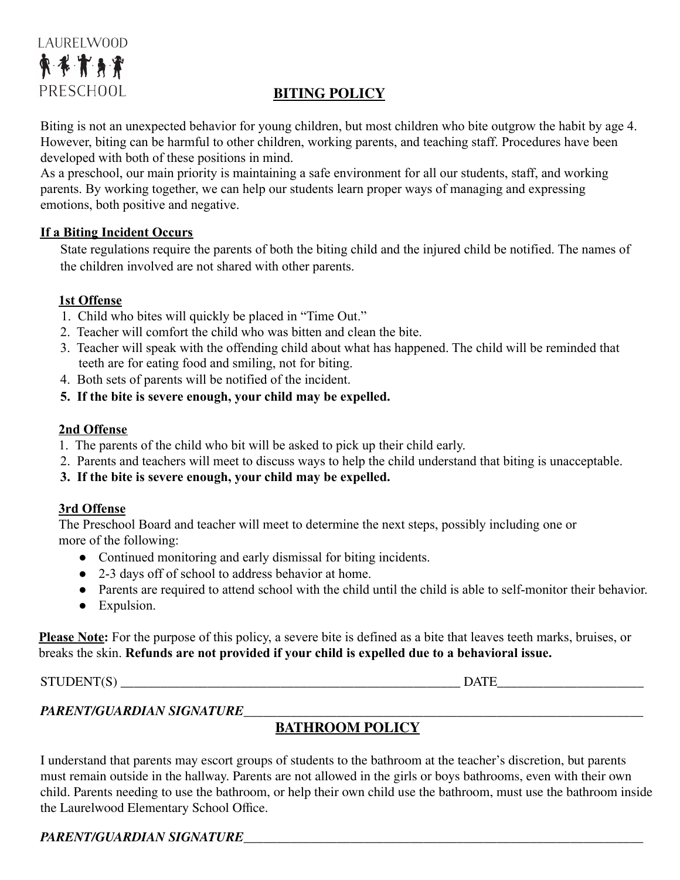# LAURELW00D 東本市身資 PRESCHOOL

### **BITING POLICY**

Biting is not an unexpected behavior for young children, but most children who bite outgrow the habit by age 4. However, biting can be harmful to other children, working parents, and teaching staff. Procedures have been developed with both of these positions in mind.

As a preschool, our main priority is maintaining a safe environment for all our students, staff, and working parents. By working together, we can help our students learn proper ways of managing and expressing emotions, both positive and negative.

#### **If a Biting Incident Occurs**

State regulations require the parents of both the biting child and the injured child be notified. The names of the children involved are not shared with other parents.

#### **1st Offense**

- 1. Child who bites will quickly be placed in "Time Out."
- 2. Teacher will comfort the child who was bitten and clean the bite.
- 3. Teacher will speak with the offending child about what has happened. The child will be reminded that teeth are for eating food and smiling, not for biting.
- 4. Both sets of parents will be notified of the incident.
- **5. If the bite is severe enough, your child may be expelled.**

#### **2nd Offense**

- 1. The parents of the child who bit will be asked to pick up their child early.
- 2. Parents and teachers will meet to discuss ways to help the child understand that biting is unacceptable.
- **3. If the bite is severe enough, your child may be expelled.**

#### **3rd Offense**

The Preschool Board and teacher will meet to determine the next steps, possibly including one or more of the following:

- Continued monitoring and early dismissal for biting incidents.
- 2-3 days off of school to address behavior at home.
- Parents are required to attend school with the child until the child is able to self-monitor their behavior.
- Expulsion.

**Please Note:** For the purpose of this policy, a severe bite is defined as a bite that leaves teeth marks, bruises, or breaks the skin. **Refunds are not provided if your child is expelled due to a behavioral issue.**

STUDENT(S) \_\_\_\_\_\_\_\_\_\_\_\_\_\_\_\_\_\_\_\_\_\_\_\_\_\_\_\_\_\_\_\_\_\_\_\_\_\_\_\_\_\_\_\_\_\_\_\_\_\_\_ DATE\_\_\_\_\_\_\_\_\_\_\_\_\_\_\_\_\_\_\_\_\_\_

#### *PARENT/GUARDIAN SIGNATURE*\_\_\_\_\_\_\_\_\_\_\_\_\_\_\_\_\_\_\_\_\_\_\_\_\_\_\_\_\_\_\_\_\_\_\_\_\_\_\_\_\_\_\_\_\_\_\_\_\_\_\_\_\_\_\_\_\_\_\_\_

### **BATHROOM POLICY**

I understand that parents may escort groups of students to the bathroom at the teacher's discretion, but parents must remain outside in the hallway. Parents are not allowed in the girls or boys bathrooms, even with their own child. Parents needing to use the bathroom, or help their own child use the bathroom, must use the bathroom inside the Laurelwood Elementary School Office.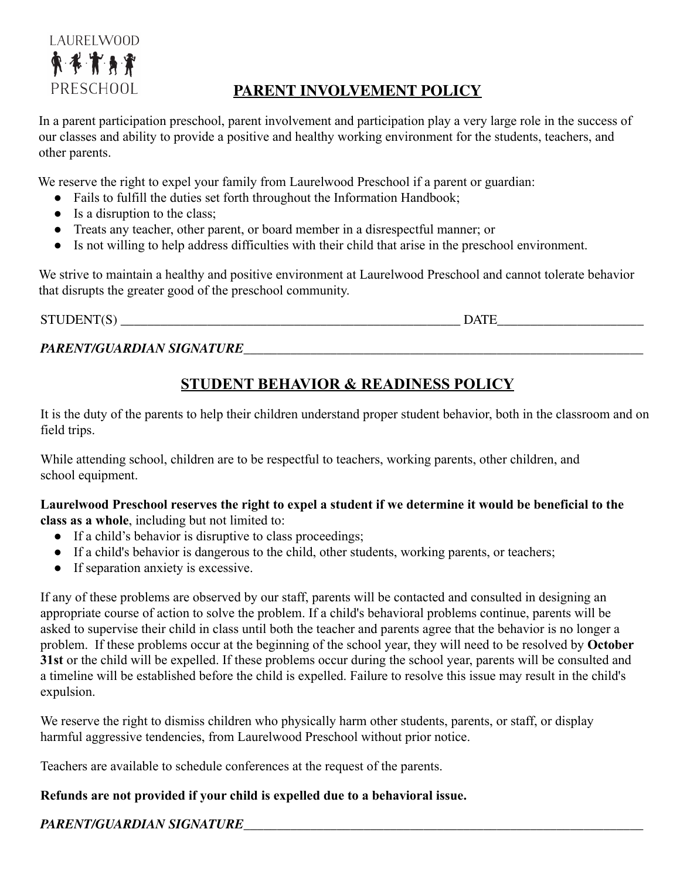

# **PARENT INVOLVEMENT POLICY**

In a parent participation preschool, parent involvement and participation play a very large role in the success of our classes and ability to provide a positive and healthy working environment for the students, teachers, and other parents.

We reserve the right to expel your family from Laurelwood Preschool if a parent or guardian:

- Fails to fulfill the duties set forth throughout the Information Handbook;
- Is a disruption to the class;
- Treats any teacher, other parent, or board member in a disrespectful manner; or
- Is not willing to help address difficulties with their child that arise in the preschool environment.

We strive to maintain a healthy and positive environment at Laurelwood Preschool and cannot tolerate behavior that disrupts the greater good of the preschool community.

STUDENT(S) DATE

*PARENT/GUARDIAN SIGNATURE*\_\_\_\_\_\_\_\_\_\_\_\_\_\_\_\_\_\_\_\_\_\_\_\_\_\_\_\_\_\_\_\_\_\_\_\_\_\_\_\_\_\_\_\_\_\_\_\_\_\_\_\_\_\_\_\_\_\_\_\_

# **STUDENT BEHAVIOR & READINESS POLICY**

It is the duty of the parents to help their children understand proper student behavior, both in the classroom and on field trips.

While attending school, children are to be respectful to teachers, working parents, other children, and school equipment.

**Laurelwood Preschool reserves the right to expel a student if we determine it would be beneficial to the class as a whole**, including but not limited to:

- If a child's behavior is disruptive to class proceedings;
- If a child's behavior is dangerous to the child, other students, working parents, or teachers;
- If separation anxiety is excessive.

If any of these problems are observed by our staff, parents will be contacted and consulted in designing an appropriate course of action to solve the problem. If a child's behavioral problems continue, parents will be asked to supervise their child in class until both the teacher and parents agree that the behavior is no longer a problem. If these problems occur at the beginning of the school year, they will need to be resolved by **October 31st** or the child will be expelled. If these problems occur during the school year, parents will be consulted and a timeline will be established before the child is expelled. Failure to resolve this issue may result in the child's expulsion.

We reserve the right to dismiss children who physically harm other students, parents, or staff, or display harmful aggressive tendencies, from Laurelwood Preschool without prior notice.

Teachers are available to schedule conferences at the request of the parents.

#### **Refunds are not provided if your child is expelled due to a behavioral issue.**